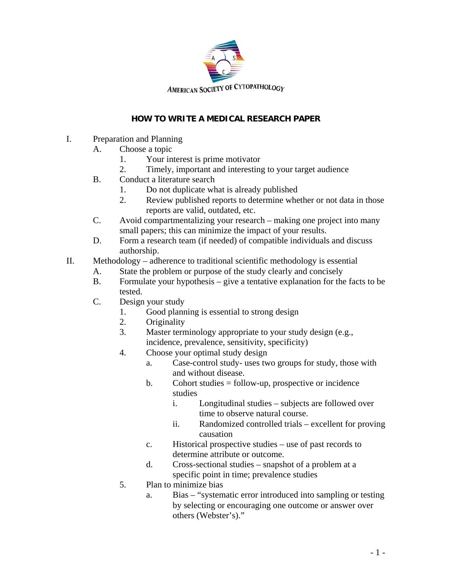

## **HOW TO WRITE A MEDICAL RESEARCH PAPER**

- I. Preparation and Planning
	- A. Choose a topic
		- 1. Your interest is prime motivator
		- 2. Timely, important and interesting to your target audience
	- B. Conduct a literature search
		- 1. Do not duplicate what is already published
		- 2. Review published reports to determine whether or not data in those reports are valid, outdated, etc.
	- C. Avoid compartmentalizing your research making one project into many small papers; this can minimize the impact of your results.
	- D. Form a research team (if needed) of compatible individuals and discuss authorship.
- II. Methodology adherence to traditional scientific methodology is essential
	- A. State the problem or purpose of the study clearly and concisely
	- B. Formulate your hypothesis give a tentative explanation for the facts to be tested.
	- C. Design your study
		- 1. Good planning is essential to strong design
		- 2. Originality
		- 3. Master terminology appropriate to your study design (e.g., incidence, prevalence, sensitivity, specificity)
		- 4. Choose your optimal study design
			- a. Case-control study- uses two groups for study, those with and without disease.
			- b. Cohort studies = follow-up, prospective or incidence studies
				- i. Longitudinal studies subjects are followed over time to observe natural course.
				- ii. Randomized controlled trials excellent for proving causation
			- c. Historical prospective studies use of past records to determine attribute or outcome.
			- d. Cross-sectional studies snapshot of a problem at a specific point in time; prevalence studies
		- 5. Plan to minimize bias
			- a. Bias "systematic error introduced into sampling or testing by selecting or encouraging one outcome or answer over others (Webster's)."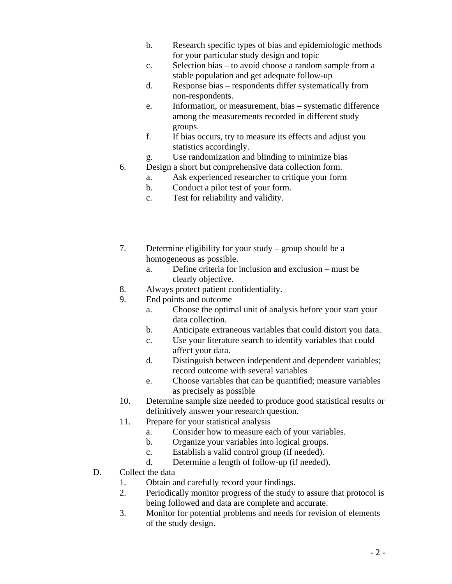- b. Research specific types of bias and epidemiologic methods for your particular study design and topic
- c. Selection bias to avoid choose a random sample from a stable population and get adequate follow-up
- d. Response bias respondents differ systematically from non-respondents.
- e. Information, or measurement, bias systematic difference among the measurements recorded in different study groups.
- f. If bias occurs, try to measure its effects and adjust you statistics accordingly.
- g. Use randomization and blinding to minimize bias
- 6. Design a short but comprehensive data collection form.
	- a. Ask experienced researcher to critique your form
	- b. Conduct a pilot test of your form.
	- c. Test for reliability and validity.
- 7. Determine eligibility for your study group should be a homogeneous as possible.
	- a. Define criteria for inclusion and exclusion must be clearly objective.
- 8. Always protect patient confidentiality.
- 9. End points and outcome
	- a. Choose the optimal unit of analysis before your start your data collection.
	- b. Anticipate extraneous variables that could distort you data.
	- c. Use your literature search to identify variables that could affect your data.
	- d. Distinguish between independent and dependent variables; record outcome with several variables
	- e. Choose variables that can be quantified; measure variables as precisely as possible
- 10. Determine sample size needed to produce good statistical results or definitively answer your research question.
- 11. Prepare for your statistical analysis
	- a. Consider how to measure each of your variables.
	- b. Organize your variables into logical groups.
	- c. Establish a valid control group (if needed).
	- d. Determine a length of follow-up (if needed).
- D. Collect the data
	- 1. Obtain and carefully record your findings.
	- 2. Periodically monitor progress of the study to assure that protocol is being followed and data are complete and accurate.
	- 3. Monitor for potential problems and needs for revision of elements of the study design.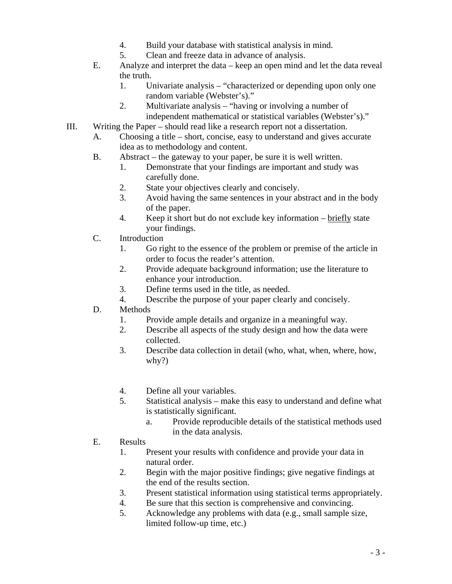- 4. Build your database with statistical analysis in mind.
- 5. Clean and freeze data in advance of analysis.
- E. Analyze and interpret the data keep an open mind and let the data reveal the truth.
	- 1. Univariate analysis "characterized or depending upon only one random variable (Webster's)."
	- 2. Multivariate analysis "having or involving a number of independent mathematical or statistical variables (Webster's)."
- III. Writing the Paper should read like a research report not a dissertation.
	- A. Choosing a title short, concise, easy to understand and gives accurate idea as to methodology and content.
	- B. Abstract the gateway to your paper, be sure it is well written.
		- 1. Demonstrate that your findings are important and study was carefully done.
		- 2. State your objectives clearly and concisely.
		- 3. Avoid having the same sentences in your abstract and in the body of the paper.
		- 4. Keep it short but do not exclude key information briefly state your findings.
	- C. Introduction
		- 1. Go right to the essence of the problem or premise of the article in order to focus the reader's attention.
		- 2. Provide adequate background information; use the literature to enhance your introduction.
		- 3. Define terms used in the title, as needed.
		- 4. Describe the purpose of your paper clearly and concisely.
	- D. Methods
		- 1. Provide ample details and organize in a meaningful way.
		- 2. Describe all aspects of the study design and how the data were collected.
		- 3. Describe data collection in detail (who, what, when, where, how, why?)
		- 4. Define all your variables.
		- 5. Statistical analysis make this easy to understand and define what is statistically significant.
			- a. Provide reproducible details of the statistical methods used in the data analysis.
	- E. Results
		- 1. Present your results with confidence and provide your data in natural order.
		- 2. Begin with the major positive findings; give negative findings at the end of the results section.
		- 3. Present statistical information using statistical terms appropriately.
		- 4. Be sure that this section is comprehensive and convincing.
		- 5. Acknowledge any problems with data (e.g., small sample size, limited follow-up time, etc.)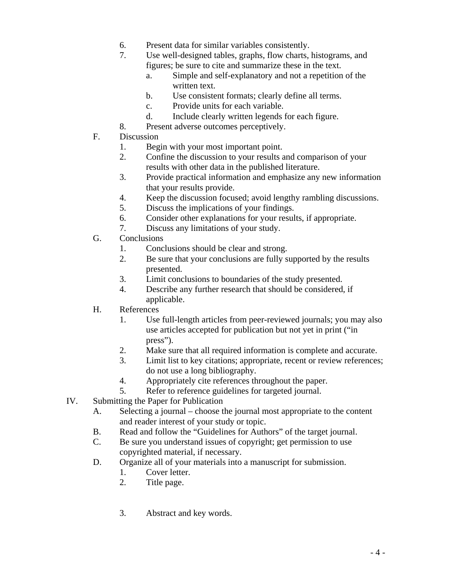- 6. Present data for similar variables consistently.
- 7. Use well-designed tables, graphs, flow charts, histograms, and figures; be sure to cite and summarize these in the text.
	- a. Simple and self-explanatory and not a repetition of the written text.
	- b. Use consistent formats; clearly define all terms.
	- c. Provide units for each variable.
	- d. Include clearly written legends for each figure.
- 8. Present adverse outcomes perceptively.
- F. Discussion
	- 1. Begin with your most important point.
	- 2. Confine the discussion to your results and comparison of your results with other data in the published literature.
	- 3. Provide practical information and emphasize any new information that your results provide.
	- 4. Keep the discussion focused; avoid lengthy rambling discussions.
	- 5. Discuss the implications of your findings.
	- 6. Consider other explanations for your results, if appropriate.
	- 7. Discuss any limitations of your study.
- G. Conclusions
	- 1. Conclusions should be clear and strong.
	- 2. Be sure that your conclusions are fully supported by the results presented.
	- 3. Limit conclusions to boundaries of the study presented.
	- 4. Describe any further research that should be considered, if applicable.
- H. References
	- 1. Use full-length articles from peer-reviewed journals; you may also use articles accepted for publication but not yet in print ("in press").
	- 2. Make sure that all required information is complete and accurate.
	- 3. Limit list to key citations; appropriate, recent or review references; do not use a long bibliography.
	- 4. Appropriately cite references throughout the paper.
	- 5. Refer to reference guidelines for targeted journal.
- IV. Submitting the Paper for Publication
	- A. Selecting a journal choose the journal most appropriate to the content and reader interest of your study or topic.
	- B. Read and follow the "Guidelines for Authors" of the target journal.
	- C. Be sure you understand issues of copyright; get permission to use copyrighted material, if necessary.
	- D. Organize all of your materials into a manuscript for submission.
		- 1. Cover letter.
		- 2. Title page.
		- 3. Abstract and key words.